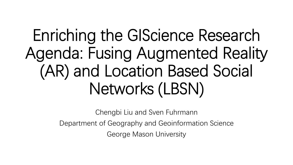# Enriching the GIScience Research Agenda: Fusing Augmented Reality (AR) and Location Based Social Networks (LBSN)

Chengbi Liu and Sven Fuhrmann Department of Geography and Geoinformation Science George Mason University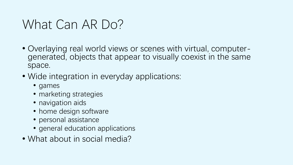#### What Can AR Do?

- Overlaying real world views or scenes with virtual, computer- generated, objects that appear to visually coexist in the same space.
- Wide integration in everyday applications:
	- games
	- marketing strategies
	- navigation aids
	- home design software
	- personal assistance
	- general education applications
- What about in social media?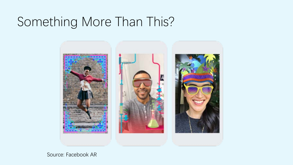### Something More Than This?



Source: Facebook AR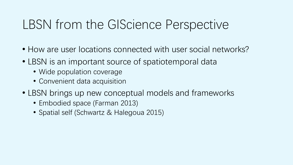### LBSN from the GIScience Perspective

- How are user locations connected with user social networks?
- LBSN is an important source of spatiotemporal data
	- Wide population coverage
	- Convenient data acquisition
- LBSN brings up new conceptual models and frameworks
	- Embodied space (Farman 2013)
	- Spatial self (Schwartz & Halegoua 2015)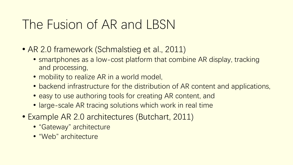#### The Fusion of AR and LBSN

- AR 2.0 framework (Schmalstieg et al., 2011)
	- smartphones as a low-cost platform that combine AR display, tracking and processing,
	- mobility to realize AR in a world model,
	- backend infrastructure for the distribution of AR content and applications,
	- easy to use authoring tools for creating AR content, and
	- large-scale AR tracing solutions which work in real time
- Example AR 2.0 architectures (Butchart, 2011)
	- "Gateway" architecture
	- "Web" architecture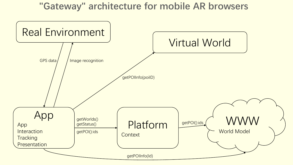#### **"Gateway" architecture for mobile AR browsers**

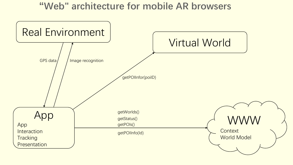#### **"Web" architecture for mobile AR browsers**

![](_page_6_Figure_1.jpeg)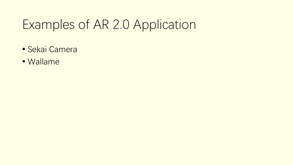### Examples of AR 2.0 Application

- Sekai Camera
- Wallame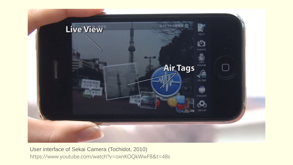![](_page_8_Picture_0.jpeg)

User interface of Sekai Camera (Tochidot, 2010) https://www.youtube.com/watch?v=oxnKOQkWwF8&t=48s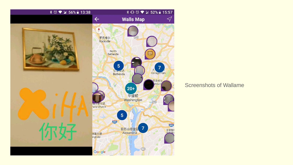![](_page_9_Picture_0.jpeg)

Screenshots of Wallame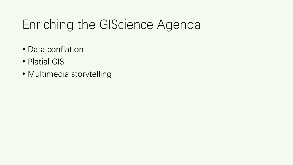### Enriching the GIScience Agenda

- Data conflation
- Platial GIS
- Multimedia storytelling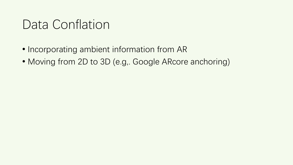### Data Conflation

- Incorporating ambient information from AR
- Moving from 2D to 3D (e.g., Google ARcore anchoring)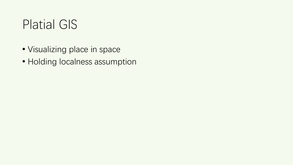#### Platial GIS

- Visualizing place in space
- Holding localness assumption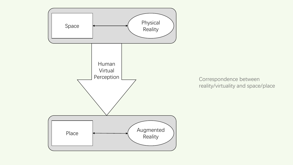![](_page_13_Figure_0.jpeg)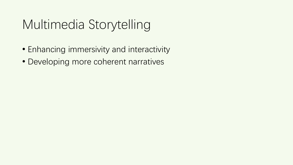## Multimedia Storytelling

- Enhancing immersivity and interactivity
- Developing more coherent narratives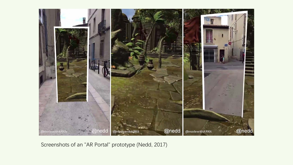![](_page_15_Picture_0.jpeg)

Screenshots of an "AR Portal" prototype (Nedd, 2017)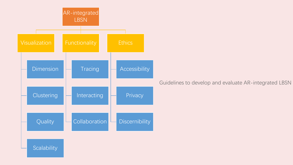![](_page_16_Figure_0.jpeg)

Guidelines to develop and evaluate AR-integrated LBSN